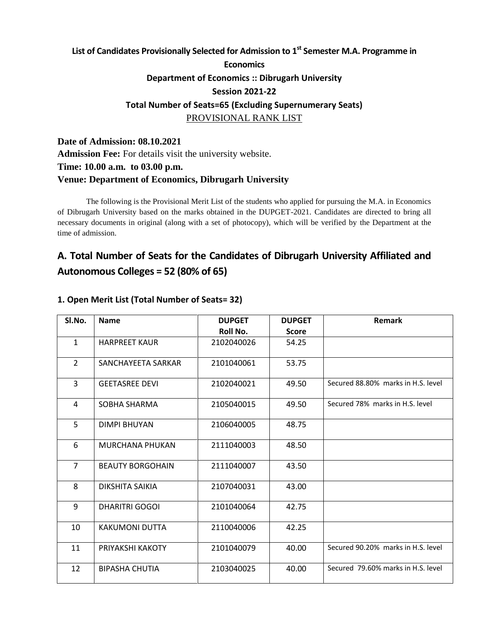# **List of Candidates Provisionally Selected for Admission to 1st Semester M.A. Programme in Economics Department of Economics :: Dibrugarh University Session 2021-22 Total Number of Seats=65 (Excluding Supernumerary Seats)** PROVISIONAL RANK LIST

**Date of Admission: 08.10.2021 Admission Fee:** For details visit the university website. **Time: 10.00 a.m. to 03.00 p.m. Venue: Department of Economics, Dibrugarh University**

The following is the Provisional Merit List of the students who applied for pursuing the M.A. in Economics of Dibrugarh University based on the marks obtained in the DUPGET-2021. Candidates are directed to bring all necessary documents in original (along with a set of photocopy), which will be verified by the Department at the time of admission.

# **A. Total Number of Seats for the Candidates of Dibrugarh University Affiliated and Autonomous Colleges = 52 (80% of 65)**

| SI.No.         | <b>Name</b>             | <b>DUPGET</b> | <b>DUPGET</b> | Remark                             |
|----------------|-------------------------|---------------|---------------|------------------------------------|
|                |                         | Roll No.      | <b>Score</b>  |                                    |
| $\mathbf{1}$   | <b>HARPREET KAUR</b>    | 2102040026    | 54.25         |                                    |
| $\overline{2}$ | SANCHAYEETA SARKAR      | 2101040061    | 53.75         |                                    |
| $\overline{3}$ | <b>GEETASREE DEVI</b>   | 2102040021    | 49.50         | Secured 88.80% marks in H.S. level |
| 4              | SOBHA SHARMA            | 2105040015    | 49.50         | Secured 78% marks in H.S. level    |
| 5              | <b>DIMPI BHUYAN</b>     | 2106040005    | 48.75         |                                    |
| 6              | <b>MURCHANA PHUKAN</b>  | 2111040003    | 48.50         |                                    |
| $\overline{7}$ | <b>BEAUTY BORGOHAIN</b> | 2111040007    | 43.50         |                                    |
| 8              | DIKSHITA SAIKIA         | 2107040031    | 43.00         |                                    |
| 9              | DHARITRI GOGOI          | 2101040064    | 42.75         |                                    |
| 10             | <b>KAKUMONI DUTTA</b>   | 2110040006    | 42.25         |                                    |
| 11             | PRIYAKSHI KAKOTY        | 2101040079    | 40.00         | Secured 90.20% marks in H.S. level |
| 12             | <b>BIPASHA CHUTIA</b>   | 2103040025    | 40.00         | Secured 79.60% marks in H.S. level |

### **1. Open Merit List (Total Number of Seats= 32)**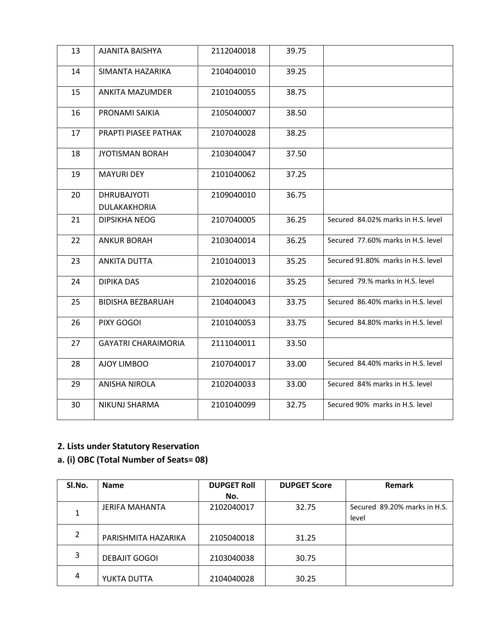| 13 | AJANITA BAISHYA                    | 2112040018 | 39.75 |                                    |
|----|------------------------------------|------------|-------|------------------------------------|
| 14 | SIMANTA HAZARIKA                   | 2104040010 | 39.25 |                                    |
| 15 | <b>ANKITA MAZUMDER</b>             | 2101040055 | 38.75 |                                    |
| 16 | PRONAMI SAIKIA                     | 2105040007 | 38.50 |                                    |
| 17 | PRAPTI PIASEE PATHAK               | 2107040028 | 38.25 |                                    |
| 18 | <b>JYOTISMAN BORAH</b>             | 2103040047 | 37.50 |                                    |
| 19 | <b>MAYURI DEY</b>                  | 2101040062 | 37.25 |                                    |
| 20 | <b>DHRUBAJYOTI</b><br>DULAKAKHORIA | 2109040010 | 36.75 |                                    |
| 21 | <b>DIPSIKHA NEOG</b>               | 2107040005 | 36.25 | Secured 84.02% marks in H.S. level |
| 22 | <b>ANKUR BORAH</b>                 | 2103040014 | 36.25 | Secured 77.60% marks in H.S. level |
| 23 | <b>ANKITA DUTTA</b>                | 2101040013 | 35.25 | Secured 91.80% marks in H.S. level |
| 24 | <b>DIPIKA DAS</b>                  | 2102040016 | 35.25 | Secured 79.% marks in H.S. level   |
| 25 | <b>BIDISHA BEZBARUAH</b>           | 2104040043 | 33.75 | Secured 86.40% marks in H.S. level |
| 26 | PIXY GOGOI                         | 2101040053 | 33.75 | Secured 84.80% marks in H.S. level |
| 27 | <b>GAYATRI CHARAIMORIA</b>         | 2111040011 | 33.50 |                                    |
| 28 | AJOY LIMBOO                        | 2107040017 | 33.00 | Secured 84.40% marks in H.S. level |
| 29 | <b>ANISHA NIROLA</b>               | 2102040033 | 33.00 | Secured 84% marks in H.S. level    |
| 30 | <b>NIKUNJ SHARMA</b>               | 2101040099 | 32.75 | Secured 90% marks in H.S. level    |

# **a. (i) OBC (Total Number of Seats= 08)**

| SI.No.       | <b>Name</b>          | <b>DUPGET Roll</b> | <b>DUPGET Score</b> | Remark                       |
|--------------|----------------------|--------------------|---------------------|------------------------------|
|              |                      | No.                |                     |                              |
|              | JERIFA MAHANTA       | 2102040017         | 32.75               | Secured 89.20% marks in H.S. |
|              |                      |                    |                     | level                        |
| $\mathbf{2}$ |                      |                    |                     |                              |
|              | PARISHMITA HAZARIKA  | 2105040018         | 31.25               |                              |
| 3            |                      |                    |                     |                              |
|              | <b>DEBAJIT GOGOI</b> | 2103040038         | 30.75               |                              |
| 4            |                      |                    |                     |                              |
|              | YUKTA DUTTA          | 2104040028         | 30.25               |                              |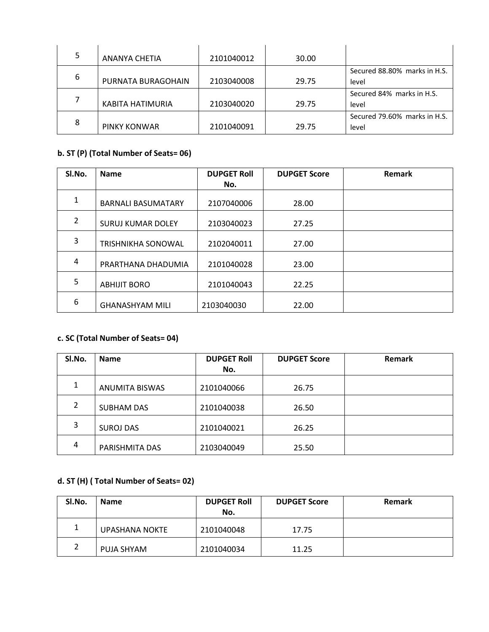| 5 | ANANYA CHETIA      | 2101040012 | 30.00 |                              |
|---|--------------------|------------|-------|------------------------------|
|   |                    |            |       | Secured 88.80% marks in H.S. |
| 6 | PURNATA BURAGOHAIN | 2103040008 | 29.75 | level                        |
|   |                    |            |       | Secured 84% marks in H.S.    |
|   | KABITA HATIMURIA   | 2103040020 | 29.75 | level                        |
|   |                    |            |       | Secured 79.60% marks in H.S. |
| 8 | PINKY KONWAR       | 2101040091 | 29.75 | level                        |

## **b. ST (P) (Total Number of Seats= 06)**

| SI.No.         | <b>Name</b>               | <b>DUPGET Roll</b> | <b>DUPGET Score</b> | Remark |
|----------------|---------------------------|--------------------|---------------------|--------|
|                |                           | No.                |                     |        |
| 1              | <b>BARNALI BASUMATARY</b> | 2107040006         | 28.00               |        |
| $\overline{2}$ | <b>SURUJ KUMAR DOLEY</b>  | 2103040023         | 27.25               |        |
| 3              | <b>TRISHNIKHA SONOWAL</b> | 2102040011         | 27.00               |        |
| 4              | PRARTHANA DHADUMIA        | 2101040028         | 23.00               |        |
| 5              | <b>ABHIJIT BORO</b>       | 2101040043         | 22.25               |        |
| 6              | <b>GHANASHYAM MILI</b>    | 2103040030         | 22.00               |        |

### **c. SC (Total Number of Seats= 04)**

| SI.No. | <b>Name</b>       | <b>DUPGET Roll</b> | <b>DUPGET Score</b> | Remark |
|--------|-------------------|--------------------|---------------------|--------|
|        |                   | No.                |                     |        |
| 1      | ANUMITA BISWAS    | 2101040066         | 26.75               |        |
| 2      | <b>SUBHAM DAS</b> | 2101040038         | 26.50               |        |
| 3      | <b>SUROJ DAS</b>  | 2101040021         | 26.25               |        |
| 4      | PARISHMITA DAS    | 2103040049         | 25.50               |        |

# **d. ST (H) ( Total Number of Seats= 02)**

| SI.No. | <b>Name</b>           | <b>DUPGET Roll</b><br>No. | <b>DUPGET Score</b> | <b>Remark</b> |
|--------|-----------------------|---------------------------|---------------------|---------------|
| 1      | <b>UPASHANA NOKTE</b> | 2101040048                | 17.75               |               |
| 2      | PUJA SHYAM            | 2101040034                | 11.25               |               |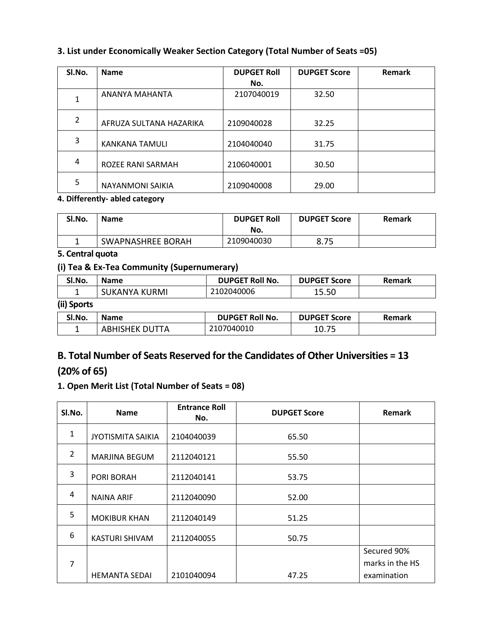### **3. List under Economically Weaker Section Category (Total Number of Seats =05)**

| SI.No.         | <b>Name</b>             | <b>DUPGET Roll</b> | <b>DUPGET Score</b> | Remark |
|----------------|-------------------------|--------------------|---------------------|--------|
|                |                         | No.                |                     |        |
| 1              | ANANYA MAHANTA          | 2107040019         | 32.50               |        |
| $\overline{2}$ | AFRUZA SULTANA HAZARIKA | 2109040028         | 32.25               |        |
| 3              | <b>KANKANA TAMULI</b>   | 2104040040         | 31.75               |        |
| 4              | ROZEE RANI SARMAH       | 2106040001         | 30.50               |        |
| 5              | <b>NAYANMONI SAIKIA</b> | 2109040008         | 29.00               |        |

### **4. Differently- abled category**

| SI.No. | <b>Name</b>              | <b>DUPGET Roll</b><br>No. | <b>DUPGET Score</b> | <b>Remark</b> |
|--------|--------------------------|---------------------------|---------------------|---------------|
|        | <b>SWAPNASHREE BORAH</b> | 2109040030                | 8.75                |               |

### **5. Central quota**

### **(i) Tea & Ex-Tea Community (Supernumerary)**

| SI.No.      | <b>Name</b>    | <b>DUPGET Roll No.</b> | <b>DUPGET Score</b> | <b>Remark</b> |
|-------------|----------------|------------------------|---------------------|---------------|
|             | SUKANYA KURMI  | 2102040006             | 15.50               |               |
| (ii) Sports |                |                        |                     |               |
| SI.No.      | <b>Name</b>    | <b>DUPGET Roll No.</b> | <b>DUPGET Score</b> | Remark        |
|             | ABHISHEK DUTTA | 2107040010             | 10.75               |               |

# **B. Total Number of Seats Reserved for the Candidates of Other Universities = 13 (20% of 65)**

### **1. Open Merit List (Total Number of Seats = 08)**

| SI.No.         | <b>Name</b>              | <b>Entrance Roll</b><br>No. | <b>DUPGET Score</b> | Remark          |
|----------------|--------------------------|-----------------------------|---------------------|-----------------|
| $\mathbf{1}$   | <b>JYOTISMITA SAIKIA</b> | 2104040039                  | 65.50               |                 |
| $\overline{2}$ | <b>MARJINA BEGUM</b>     | 2112040121                  | 55.50               |                 |
| 3              | PORI BORAH               | 2112040141                  | 53.75               |                 |
| 4              | NAINA ARIF               | 2112040090                  | 52.00               |                 |
| 5              | <b>MOKIBUR KHAN</b>      | 2112040149                  | 51.25               |                 |
| 6              | <b>KASTURI SHIVAM</b>    | 2112040055                  | 50.75               |                 |
|                |                          |                             |                     | Secured 90%     |
| 7              |                          |                             |                     | marks in the HS |
|                | <b>HEMANTA SEDAI</b>     | 2101040094                  | 47.25               | examination     |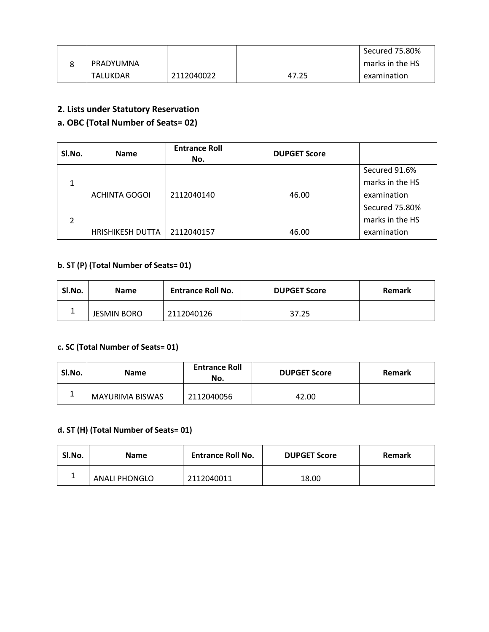|                 |            |       | Secured 75.80%  |
|-----------------|------------|-------|-----------------|
| PRADYUMNA       |            |       | marks in the HS |
| <b>TALUKDAR</b> | 2112040022 | 47.25 | examination     |

### **a. OBC (Total Number of Seats= 02)**

| SI.No. | <b>Name</b>             | <b>Entrance Roll</b><br>No. | <b>DUPGET Score</b> |                 |
|--------|-------------------------|-----------------------------|---------------------|-----------------|
|        |                         |                             |                     | Secured 91.6%   |
| 1      |                         |                             |                     | marks in the HS |
|        | ACHINTA GOGOI           | 2112040140                  | 46.00               | examination     |
|        |                         |                             |                     | Secured 75.80%  |
|        |                         |                             |                     | marks in the HS |
|        | <b>HRISHIKESH DUTTA</b> | 2112040157                  | 46.00               | examination     |

## **b. ST (P) (Total Number of Seats= 01)**

| SI.No. | <b>Name</b>        | <b>Entrance Roll No.</b> | <b>DUPGET Score</b> | <b>Remark</b> |
|--------|--------------------|--------------------------|---------------------|---------------|
|        | <b>JESMIN BORO</b> | 2112040126               | 37.25               |               |

### **c. SC (Total Number of Seats= 01)**

| Sl.No. | <b>Name</b>            | <b>Entrance Roll</b><br>No. | <b>DUPGET Score</b> | <b>Remark</b> |
|--------|------------------------|-----------------------------|---------------------|---------------|
|        | <b>MAYURIMA BISWAS</b> | 2112040056                  | 42.00               |               |

### **d. ST (H) (Total Number of Seats= 01)**

| Sl.No. | <b>Name</b>          | <b>Entrance Roll No.</b> | <b>DUPGET Score</b> | Remark |
|--------|----------------------|--------------------------|---------------------|--------|
|        | <b>ANALI PHONGLO</b> | 2112040011               | 18.00               |        |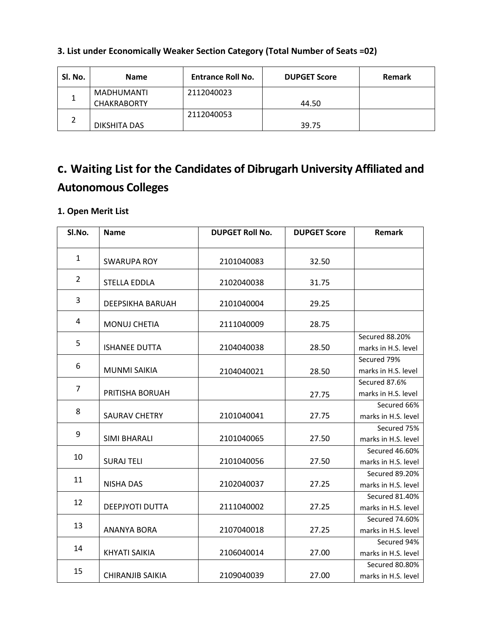| Sl. No. | <b>Name</b>        | <b>Entrance Roll No.</b> | <b>DUPGET Score</b> | <b>Remark</b> |
|---------|--------------------|--------------------------|---------------------|---------------|
|         | <b>MADHUMANTI</b>  | 2112040023               |                     |               |
|         | <b>CHAKRABORTY</b> |                          | 44.50               |               |
|         |                    | 2112040053               |                     |               |
| ∸       | DIKSHITA DAS       |                          | 39.75               |               |

## **3. List under Economically Weaker Section Category (Total Number of Seats =02)**

# **c. Waiting List for the Candidates of Dibrugarh University Affiliated and Autonomous Colleges**

### **1. Open Merit List**

| SI.No.         | <b>Name</b>             | <b>DUPGET Roll No.</b> | <b>DUPGET Score</b> | <b>Remark</b>                         |
|----------------|-------------------------|------------------------|---------------------|---------------------------------------|
| $\mathbf{1}$   | <b>SWARUPA ROY</b>      | 2101040083             | 32.50               |                                       |
| $\overline{2}$ | <b>STELLA EDDLA</b>     | 2102040038             | 31.75               |                                       |
| 3              | <b>DEEPSIKHA BARUAH</b> | 2101040004             | 29.25               |                                       |
| 4              | <b>MONUJ CHETIA</b>     | 2111040009             | 28.75               |                                       |
| 5              | <b>ISHANEE DUTTA</b>    | 2104040038             | 28.50               | Secured 88.20%<br>marks in H.S. level |
| 6              | <b>MUNMI SAIKIA</b>     | 2104040021             | 28.50               | Secured 79%<br>marks in H.S. level    |
| $\overline{7}$ | PRITISHA BORUAH         |                        | 27.75               | Secured 87.6%<br>marks in H.S. level  |
| 8              | <b>SAURAV CHETRY</b>    | 2101040041             | 27.75               | Secured 66%<br>marks in H.S. level    |
| 9              | <b>SIMI BHARALI</b>     | 2101040065             | 27.50               | Secured 75%<br>marks in H.S. level    |
| 10             | <b>SURAJ TELI</b>       | 2101040056             | 27.50               | Secured 46.60%<br>marks in H.S. level |
| 11             | <b>NISHA DAS</b>        | 2102040037             | 27.25               | Secured 89.20%<br>marks in H.S. level |
| 12             | <b>DEEPJYOTI DUTTA</b>  | 2111040002             | 27.25               | Secured 81.40%<br>marks in H.S. level |
| 13             | <b>ANANYA BORA</b>      | 2107040018             | 27.25               | Secured 74.60%<br>marks in H.S. level |
| 14             | <b>KHYATI SAIKIA</b>    | 2106040014             | 27.00               | Secured 94%<br>marks in H.S. level    |
| 15             | <b>CHIRANJIB SAIKIA</b> | 2109040039             | 27.00               | Secured 80.80%<br>marks in H.S. level |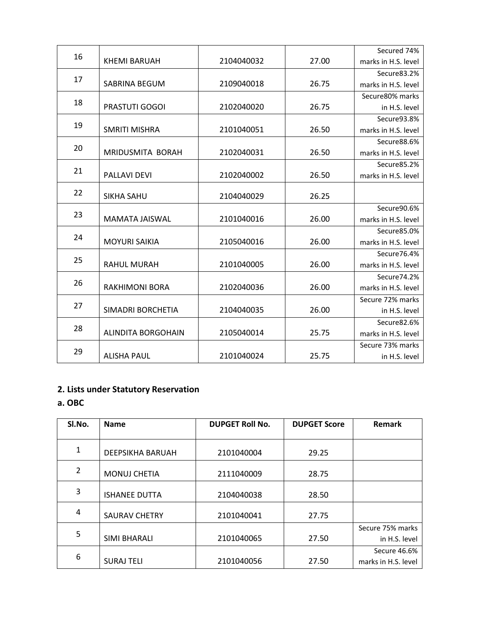| 16 |                           |            |       | Secured 74%         |
|----|---------------------------|------------|-------|---------------------|
|    | <b>KHEMI BARUAH</b>       | 2104040032 | 27.00 | marks in H.S. level |
| 17 |                           |            |       | Secure83.2%         |
|    | SABRINA BEGUM             | 2109040018 | 26.75 | marks in H.S. level |
| 18 |                           |            |       | Secure 80% marks    |
|    | PRASTUTI GOGOI            | 2102040020 | 26.75 | in H.S. level       |
| 19 |                           |            |       | Secure93.8%         |
|    | <b>SMRITI MISHRA</b>      | 2101040051 | 26.50 | marks in H.S. level |
| 20 |                           |            |       | Secure88.6%         |
|    | MRIDUSMITA BORAH          | 2102040031 | 26.50 | marks in H.S. level |
| 21 |                           |            |       | Secure85.2%         |
|    | PALLAVI DEVI              | 2102040002 | 26.50 | marks in H.S. level |
| 22 |                           |            |       |                     |
|    | SIKHA SAHU                | 2104040029 | 26.25 |                     |
| 23 |                           |            |       | Secure90.6%         |
|    | MAMATA JAISWAL            | 2101040016 | 26.00 | marks in H.S. level |
| 24 | <b>MOYURI SAIKIA</b>      | 2105040016 | 26.00 | Secure85.0%         |
|    |                           |            |       | marks in H.S. level |
| 25 |                           |            |       | Secure76.4%         |
|    | <b>RAHUL MURAH</b>        | 2101040005 | 26.00 | marks in H.S. level |
| 26 |                           |            |       | Secure 74.2%        |
|    | <b>RAKHIMONI BORA</b>     | 2102040036 | 26.00 | marks in H.S. level |
| 27 |                           |            |       | Secure 72% marks    |
|    | SIMADRI BORCHETIA         | 2104040035 | 26.00 | in H.S. level       |
| 28 |                           |            |       | Secure82.6%         |
|    | <b>ALINDITA BORGOHAIN</b> | 2105040014 | 25.75 | marks in H.S. level |
| 29 |                           |            |       | Secure 73% marks    |
|    | <b>ALISHA PAUL</b>        | 2101040024 | 25.75 | in H.S. level       |

**a. OBC**

| SI.No.         | <b>Name</b>             | <b>DUPGET Roll No.</b> | <b>DUPGET Score</b> | <b>Remark</b>       |
|----------------|-------------------------|------------------------|---------------------|---------------------|
|                |                         |                        |                     |                     |
| 1              | <b>DEEPSIKHA BARUAH</b> | 2101040004             | 29.25               |                     |
| $\overline{2}$ | <b>MONUJ CHETIA</b>     | 2111040009             | 28.75               |                     |
| 3              | <b>ISHANEE DUTTA</b>    | 2104040038             | 28.50               |                     |
| 4              | <b>SAURAV CHETRY</b>    | 2101040041             | 27.75               |                     |
|                |                         |                        |                     | Secure 75% marks    |
| 5              | SIMI BHARALI            | 2101040065             | 27.50               | in H.S. level       |
|                |                         |                        |                     | Secure 46.6%        |
| 6              | <b>SURAJ TELI</b>       | 2101040056             | 27.50               | marks in H.S. level |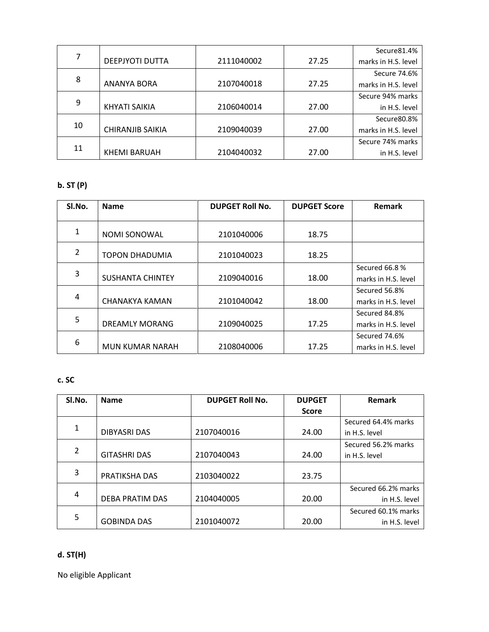|    |                         |            |       | Secure81.4%         |
|----|-------------------------|------------|-------|---------------------|
| 7  | DEEPJYOTI DUTTA         | 2111040002 | 27.25 | marks in H.S. level |
|    |                         |            |       | Secure 74.6%        |
| 8  | ANANYA BORA             | 2107040018 | 27.25 | marks in H.S. level |
|    |                         |            |       | Secure 94% marks    |
| 9  | KHYATI SAIKIA           | 2106040014 | 27.00 | in H.S. level       |
|    |                         |            |       | Secure80.8%         |
| 10 | <b>CHIRANJIB SAIKIA</b> | 2109040039 | 27.00 | marks in H.S. level |
|    |                         |            |       | Secure 74% marks    |
| 11 | <b>KHEMI BARUAH</b>     | 2104040032 | 27.00 | in H.S. level       |

## **b. ST (P)**

| SI.No. | <b>Name</b>             | <b>DUPGET Roll No.</b> | <b>DUPGET Score</b> | <b>Remark</b>       |
|--------|-------------------------|------------------------|---------------------|---------------------|
|        |                         |                        |                     |                     |
| 1      | <b>NOMI SONOWAL</b>     | 2101040006             | 18.75               |                     |
| 2      | TOPON DHADUMIA          | 2101040023             | 18.25               |                     |
|        |                         |                        |                     | Secured 66.8 %      |
| 3      | <b>SUSHANTA CHINTEY</b> | 2109040016             | 18.00               | marks in H.S. level |
|        |                         |                        |                     | Secured 56.8%       |
| 4      | CHANAKYA KAMAN          | 2101040042             | 18.00               | marks in H.S. level |
| 5      |                         |                        |                     | Secured 84.8%       |
|        | <b>DREAMLY MORANG</b>   | 2109040025             | 17.25               | marks in H.S. level |
|        |                         |                        |                     | Secured 74.6%       |
| 6      | <b>MUN KUMAR NARAH</b>  | 2108040006             | 17.25               | marks in H.S. level |

### **c. SC**

| SI.No. | <b>Name</b>            | <b>DUPGET Roll No.</b> | <b>DUPGET</b> | <b>Remark</b>       |
|--------|------------------------|------------------------|---------------|---------------------|
|        |                        |                        | <b>Score</b>  |                     |
|        |                        |                        |               | Secured 64.4% marks |
| 1      | <b>DIBYASRI DAS</b>    | 2107040016             | 24.00         | in H.S. level       |
|        |                        |                        |               | Secured 56.2% marks |
| 2      | <b>GITASHRI DAS</b>    | 2107040043             | 24.00         | in H.S. level       |
| 3      |                        |                        |               |                     |
|        | PRATIKSHA DAS          | 2103040022             | 23.75         |                     |
|        |                        |                        |               | Secured 66.2% marks |
| 4      | <b>DEBA PRATIM DAS</b> | 2104040005             | 20.00         | in H.S. level       |
|        |                        |                        |               | Secured 60.1% marks |
| 5      | <b>GOBINDA DAS</b>     | 2101040072             | 20.00         | in H.S. level       |

# **d. ST(H)**

No eligible Applicant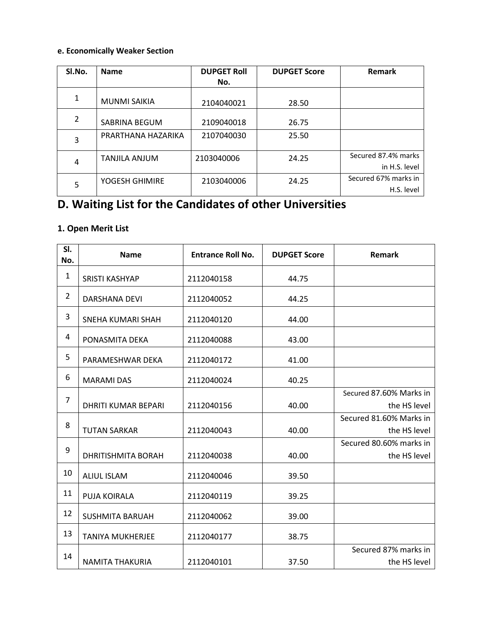### **e. Economically Weaker Section**

| SI.No.         | <b>Name</b>         | <b>DUPGET Roll</b> | <b>DUPGET Score</b> | Remark                               |
|----------------|---------------------|--------------------|---------------------|--------------------------------------|
|                |                     | No.                |                     |                                      |
| 1              | <b>MUNMI SAIKIA</b> | 2104040021         | 28.50               |                                      |
| $\overline{2}$ | SABRINA BEGUM       | 2109040018         | 26.75               |                                      |
| 3              | PRARTHANA HAZARIKA  | 2107040030         | 25.50               |                                      |
| 4              | TANJILA ANJUM       | 2103040006         | 24.25               | Secured 87.4% marks<br>in H.S. level |
| 5              | YOGESH GHIMIRE      | 2103040006         | 24.25               | Secured 67% marks in<br>H.S. level   |

# **D. Waiting List for the Candidates of other Universities**

## **1. Open Merit List**

| SI.<br>No.     | <b>Name</b>                | <b>Entrance Roll No.</b> | Remark |                                         |
|----------------|----------------------------|--------------------------|--------|-----------------------------------------|
| $\mathbf{1}$   | <b>SRISTI KASHYAP</b>      | 2112040158               | 44.75  |                                         |
| $\overline{2}$ | <b>DARSHANA DEVI</b>       | 2112040052               | 44.25  |                                         |
| 3              | SNEHA KUMARI SHAH          | 2112040120               | 44.00  |                                         |
| 4              | PONASMITA DEKA             | 2112040088               | 43.00  |                                         |
| 5              | PARAMESHWAR DEKA           | 2112040172               | 41.00  |                                         |
| 6              | <b>MARAMI DAS</b>          | 2112040024<br>40.25      |        |                                         |
| 7              | <b>DHRITI KUMAR BEPARI</b> | 2112040156               | 40.00  | Secured 87.60% Marks in<br>the HS level |
| 8              | <b>TUTAN SARKAR</b>        | 2112040043               | 40.00  | Secured 81.60% Marks in<br>the HS level |
| 9              | <b>DHRITISHMITA BORAH</b>  | 2112040038               | 40.00  | Secured 80.60% marks in<br>the HS level |
| 10             | <b>ALIUL ISLAM</b>         | 2112040046               | 39.50  |                                         |
| 11             | PUJA KOIRALA               | 2112040119               | 39.25  |                                         |
| 12             | <b>SUSHMITA BARUAH</b>     | 2112040062               | 39.00  |                                         |
| 13             | <b>TANIYA MUKHERJEE</b>    | 2112040177               | 38.75  |                                         |
| 14             | <b>NAMITA THAKURIA</b>     | 2112040101               | 37.50  | Secured 87% marks in<br>the HS level    |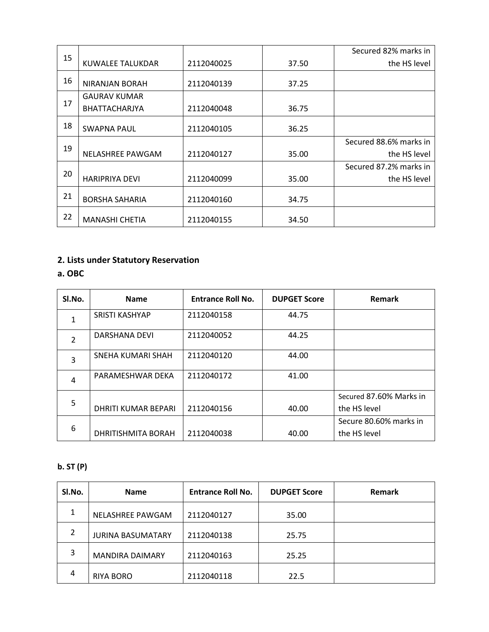|    |                         |            |       | Secured 82% marks in   |
|----|-------------------------|------------|-------|------------------------|
| 15 | <b>KUWALEE TALUKDAR</b> | 2112040025 | 37.50 | the HS level           |
| 16 | <b>NIRANJAN BORAH</b>   | 2112040139 | 37.25 |                        |
| 17 | <b>GAURAV KUMAR</b>     |            |       |                        |
|    | <b>BHATTACHARJYA</b>    | 2112040048 | 36.75 |                        |
| 18 | <b>SWAPNA PAUL</b>      | 2112040105 | 36.25 |                        |
|    |                         |            |       | Secured 88.6% marks in |
| 19 | NELASHREE PAWGAM        | 2112040127 | 35.00 | the HS level           |
|    |                         |            |       | Secured 87.2% marks in |
| 20 | <b>HARIPRIYA DEVI</b>   | 2112040099 | 35.00 | the HS level           |
| 21 | <b>BORSHA SAHARIA</b>   | 2112040160 | 34.75 |                        |
| 22 | <b>MANASHI CHETIA</b>   | 2112040155 | 34.50 |                        |

**a. OBC**

| SI.No.         | <b>Name</b>           | <b>Entrance Roll No.</b> | Remark |                         |
|----------------|-----------------------|--------------------------|--------|-------------------------|
| $\mathbf{1}$   | <b>SRISTI KASHYAP</b> | 2112040158               | 44.75  |                         |
| $\overline{2}$ | <b>DARSHANA DEVI</b>  | 2112040052               | 44.25  |                         |
| 3              | SNEHA KUMARI SHAH     | 2112040120               | 44.00  |                         |
| $\overline{4}$ | PARAMESHWAR DEKA      | 2112040172               | 41.00  |                         |
| 5              |                       |                          |        | Secured 87.60% Marks in |
|                | DHRITI KUMAR BEPARI   | 2112040156               | 40.00  | the HS level            |
| 6              |                       |                          |        | Secure 80.60% marks in  |
|                | DHRITISHMITA BORAH    | 2112040038               | 40.00  | the HS level            |

## **b. ST (P)**

| SI.No. | <b>Name</b>              | <b>Entrance Roll No.</b> | <b>DUPGET Score</b> | <b>Remark</b> |
|--------|--------------------------|--------------------------|---------------------|---------------|
| 1      | NELASHREE PAWGAM         | 2112040127               | 35.00               |               |
| 2      | <b>JURINA BASUMATARY</b> | 2112040138               | 25.75               |               |
| 3      | <b>MANDIRA DAIMARY</b>   | 2112040163               | 25.25               |               |
| 4      | RIYA BORO                | 2112040118               | 22.5                |               |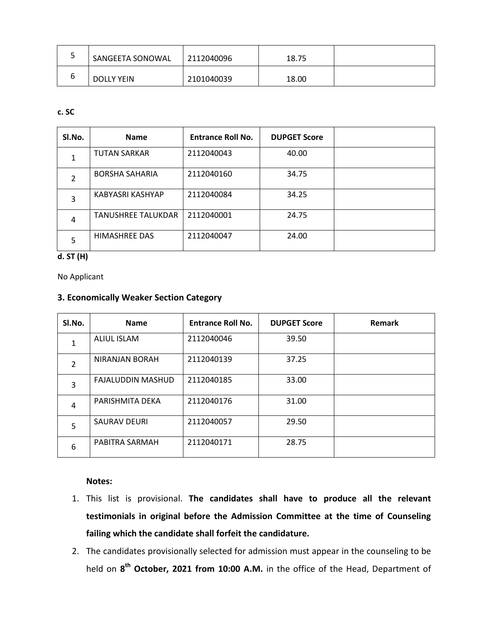| ٮ | SANGEETA SONOWAL  | 2112040096 | 18.75 |  |
|---|-------------------|------------|-------|--|
|   | <b>DOLLY YEIN</b> | 2101040039 | 18.00 |  |

### **c. SC**

| SI.No.                         | <b>Name</b>           | <b>Entrance Roll No.</b> | <b>DUPGET Score</b> |  |
|--------------------------------|-----------------------|--------------------------|---------------------|--|
|                                | <b>TUTAN SARKAR</b>   | 2112040043               |                     |  |
|                                | <b>BORSHA SAHARIA</b> | 2112040160               | 34.75               |  |
| 3                              | KABYASRI KASHYAP      | 2112040084               | 34.25               |  |
| <b>TANUSHREE TALUKDAR</b><br>4 |                       | 2112040001               | 24.75               |  |
| 5                              | HIMASHREE DAS         | 2112040047               | 24.00               |  |

## **d. ST (H)**

No Applicant

### **3. Economically Weaker Section Category**

| SI.No.         | <b>Name</b>              | <b>Entrance Roll No.</b> | <b>DUPGET Score</b> | Remark |
|----------------|--------------------------|--------------------------|---------------------|--------|
|                | <b>ALIUL ISLAM</b>       | 2112040046               | 39.50               |        |
| $\overline{2}$ | <b>NIRANJAN BORAH</b>    | 2112040139               | 37.25               |        |
| 3              | <b>FAJALUDDIN MASHUD</b> | 2112040185               | 33.00               |        |
| 4              | PARISHMITA DEKA          | 2112040176               | 31.00               |        |
| 5              | <b>SAURAV DEURI</b>      | 2112040057               | 29.50               |        |
| 6              | PABITRA SARMAH           | 2112040171               | 28.75               |        |

#### **Notes:**

- 1. This list is provisional. **The candidates shall have to produce all the relevant testimonials in original before the Admission Committee at the time of Counseling failing which the candidate shall forfeit the candidature.**
- 2. The candidates provisionally selected for admission must appear in the counseling to be held on **8 th October, 2021 from 10:00 A.M.** in the office of the Head, Department of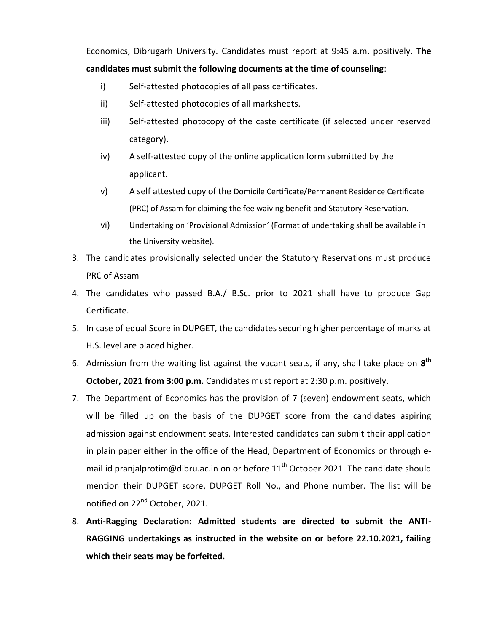Economics, Dibrugarh University. Candidates must report at 9:45 a.m. positively. **The candidates must submit the following documents at the time of counseling**:

- i) Self-attested photocopies of all pass certificates.
- ii) Self-attested photocopies of all marksheets.
- iii) Self-attested photocopy of the caste certificate (if selected under reserved category).
- iv) A self-attested copy of the online application form submitted by the applicant.
- v) A self attested copy of the Domicile Certificate/Permanent Residence Certificate (PRC) of Assam for claiming the fee waiving benefit and Statutory Reservation.
- vi) Undertaking on 'Provisional Admission' (Format of undertaking shall be available in the University website).
- 3. The candidates provisionally selected under the Statutory Reservations must produce PRC of Assam
- 4. The candidates who passed B.A./ B.Sc. prior to 2021 shall have to produce Gap Certificate.
- 5. In case of equal Score in DUPGET, the candidates securing higher percentage of marks at H.S. level are placed higher.
- 6. Admission from the waiting list against the vacant seats, if any, shall take place on **8 th October, 2021 from 3:00 p.m.** Candidates must report at 2:30 p.m. positively.
- 7. The Department of Economics has the provision of 7 (seven) endowment seats, which will be filled up on the basis of the DUPGET score from the candidates aspiring admission against endowment seats. Interested candidates can submit their application in plain paper either in the office of the Head, Department of Economics or through email id pranjalprotim@dibru.ac.in on or before  $11<sup>th</sup>$  October 2021. The candidate should mention their DUPGET score, DUPGET Roll No., and Phone number. The list will be notified on 22<sup>nd</sup> October, 2021.
- 8. **Anti-Ragging Declaration: Admitted students are directed to submit the ANTI-RAGGING undertakings as instructed in the website on or before 22.10.2021, failing which their seats may be forfeited.**